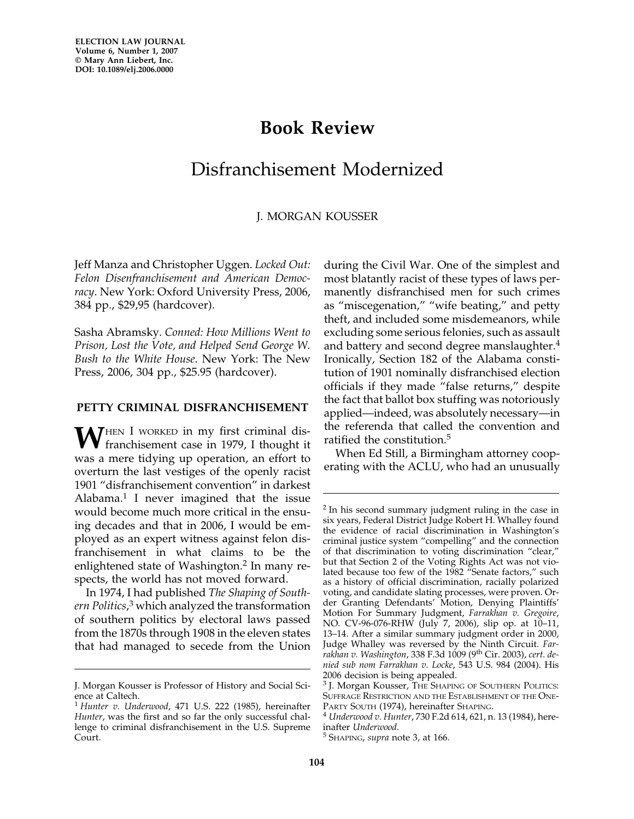# **Book Review**

## Disfranchisement Modernized

### J. MORGAN KOUSSER

Jeff Manza and Christopher Uggen. *Locked Out: Felon Disenfranchisement and American Democracy*. New York: Oxford University Press, 2006, 384 pp., \$29,95 (hardcover).

Sasha Abramsky. *Conned: How Millions Went to Prison, Lost the Vote, and Helped Send George W. Bush to the White House*. New York: The New Press, 2006, 304 pp., \$25.95 (hardcover).

#### **PETTY CRIMINAL DISFRANCHISEMENT**

**W**HEN I WORKED in my first criminal disfranchisement case in 1979, I thought it was a mere tidying up operation, an effort to overturn the last vestiges of the openly racist 1901 "disfranchisement convention" in darkest Alabama.<sup>1</sup> I never imagined that the issue would become much more critical in the ensuing decades and that in 2006, I would be employed as an expert witness against felon disfranchisement in what claims to be the enlightened state of Washington.<sup>2</sup> In many respects, the world has not moved forward.

In 1974, I had published *The Shaping of Southern Politics*, <sup>3</sup> which analyzed the transformation of southern politics by electoral laws passed from the 1870s through 1908 in the eleven states that had managed to secede from the Union during the Civil War. One of the simplest and most blatantly racist of these types of laws permanently disfranchised men for such crimes as "miscegenation," "wife beating," and petty theft, and included some misdemeanors, while excluding some serious felonies, such as assault and battery and second degree manslaughter.<sup>4</sup> Ironically, Section 182 of the Alabama constitution of 1901 nominally disfranchised election officials if they made "false returns," despite the fact that ballot box stuffing was notoriously applied—indeed, was absolutely necessary—in the referenda that called the convention and ratified the constitution.<sup>5</sup>

When Ed Still, a Birmingham attorney cooperating with the ACLU, who had an unusually

J. Morgan Kousser is Professor of History and Social Science at Caltech.

<sup>1</sup> *Hunter v. Underwood*, 471 U.S. 222 (1985), hereinafter *Hunter*, was the first and so far the only successful challenge to criminal disfranchisement in the U.S. Supreme Court.

<sup>2</sup> In his second summary judgment ruling in the case in six years, Federal District Judge Robert H. Whalley found the evidence of racial discrimination in Washington's criminal justice system "compelling" and the connection of that discrimination to voting discrimination "clear," but that Section 2 of the Voting Rights Act was not violated because too few of the 1982 "Senate factors," such as a history of official discrimination, racially polarized voting, and candidate slating processes, were proven. Order Granting Defendants' Motion, Denying Plaintiffs' Motion For Summary Judgment, *Farrakhan v. Gregoire*, NO. CV-96-076-RHW (July 7, 2006), slip op. at 10–11, 13–14. After a similar summary judgment order in 2000, Judge Whalley was reversed by the Ninth Circuit. *Farrakhan v. Washington*, 338 F.3d 1009 (9th Cir. 2003), *cert. denied sub nom Farrakhan v. Locke*, 543 U.S. 984 (2004). His 2006 decision is being appealed.

<sup>3</sup> J. Morgan Kousser, THE SHAPING OF SOUTHERN POLITICS: SUFFRAGE RESTRICTION AND THE ESTABLISHMENT OF THE ONE-

PARTY SOUTH (1974), hereinafter SHAPING.<br><sup>4</sup> *Underwood v. Hunter*, 730 F.2d 614, 621, n. 13 (1984), here-inafter *Underwood*.

 $<sup>5</sup>$  SHAPING, *supra* note 3, at 166.</sup>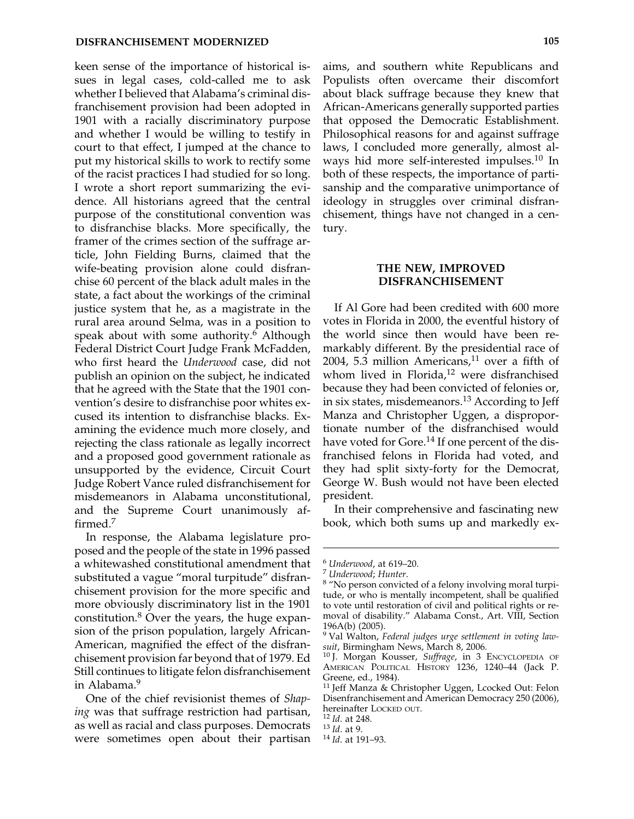keen sense of the importance of historical issues in legal cases, cold-called me to ask whether I believed that Alabama's criminal disfranchisement provision had been adopted in 1901 with a racially discriminatory purpose and whether I would be willing to testify in court to that effect, I jumped at the chance to put my historical skills to work to rectify some of the racist practices I had studied for so long. I wrote a short report summarizing the evidence. All historians agreed that the central purpose of the constitutional convention was to disfranchise blacks. More specifically, the framer of the crimes section of the suffrage article, John Fielding Burns, claimed that the wife-beating provision alone could disfranchise 60 percent of the black adult males in the state, a fact about the workings of the criminal justice system that he, as a magistrate in the rural area around Selma, was in a position to speak about with some authority.<sup>6</sup> Although Federal District Court Judge Frank McFadden, who first heard the *Underwood* case, did not publish an opinion on the subject, he indicated that he agreed with the State that the 1901 convention's desire to disfranchise poor whites excused its intention to disfranchise blacks. Examining the evidence much more closely, and rejecting the class rationale as legally incorrect and a proposed good government rationale as unsupported by the evidence, Circuit Court Judge Robert Vance ruled disfranchisement for misdemeanors in Alabama unconstitutional, and the Supreme Court unanimously affirmed.<sup>7</sup>

In response, the Alabama legislature proposed and the people of the state in 1996 passed a whitewashed constitutional amendment that substituted a vague "moral turpitude" disfranchisement provision for the more specific and more obviously discriminatory list in the 1901 constitution.<sup>8</sup> Over the years, the huge expansion of the prison population, largely African-American, magnified the effect of the disfranchisement provision far beyond that of 1979. Ed Still continues to litigate felon disfranchisement in Alabama.9

One of the chief revisionist themes of *Shaping* was that suffrage restriction had partisan, as well as racial and class purposes. Democrats were sometimes open about their partisan

aims, and southern white Republicans and Populists often overcame their discomfort about black suffrage because they knew that African-Americans generally supported parties that opposed the Democratic Establishment. Philosophical reasons for and against suffrage laws, I concluded more generally, almost always hid more self-interested impulses.<sup>10</sup> In both of these respects, the importance of partisanship and the comparative unimportance of ideology in struggles over criminal disfranchisement, things have not changed in a century.

### **THE NEW, IMPROVED DISFRANCHISEMENT**

If Al Gore had been credited with 600 more votes in Florida in 2000, the eventful history of the world since then would have been remarkably different. By the presidential race of 2004, 5.3 million Americans, $11$  over a fifth of whom lived in Florida, $12$  were disfranchised because they had been convicted of felonies or, in six states, misdemeanors.13 According to Jeff Manza and Christopher Uggen, a disproportionate number of the disfranchised would have voted for Gore.<sup>14</sup> If one percent of the disfranchised felons in Florida had voted, and they had split sixty-forty for the Democrat, George W. Bush would not have been elected president.

In their comprehensive and fascinating new book, which both sums up and markedly ex-

<sup>6</sup> *Underwood*, at 619–20. <sup>7</sup> *Underwood*; *Hunter*. <sup>8</sup> "No person convicted of a felony involving moral turpitude, or who is mentally incompetent, shall be qualified to vote until restoration of civil and political rights or removal of disability." Alabama Const., Art. VIII, Section 196A(b) (2005).

<sup>9</sup> Val Walton, *Federal judges urge settlement in voting law-*

<sup>&</sup>lt;sup>10</sup> J. Morgan Kousser, *Suffrage*, in 3 ENCYCLOPEDIA OF AMERICAN POLITICAL HISTORY 1236, 1240–44 (Jack P. Greene, ed., 1984).

<sup>11</sup> Jeff Manza & Christopher Uggen, Lcocked Out: Felon Disenfranchisement and American Democracy 250 (2006), hereinafter LOCKED OUT. <sup>12</sup> *Id*. at 248. <sup>13</sup> *Id*. at 9. <sup>14</sup> *Id*. at 191–93.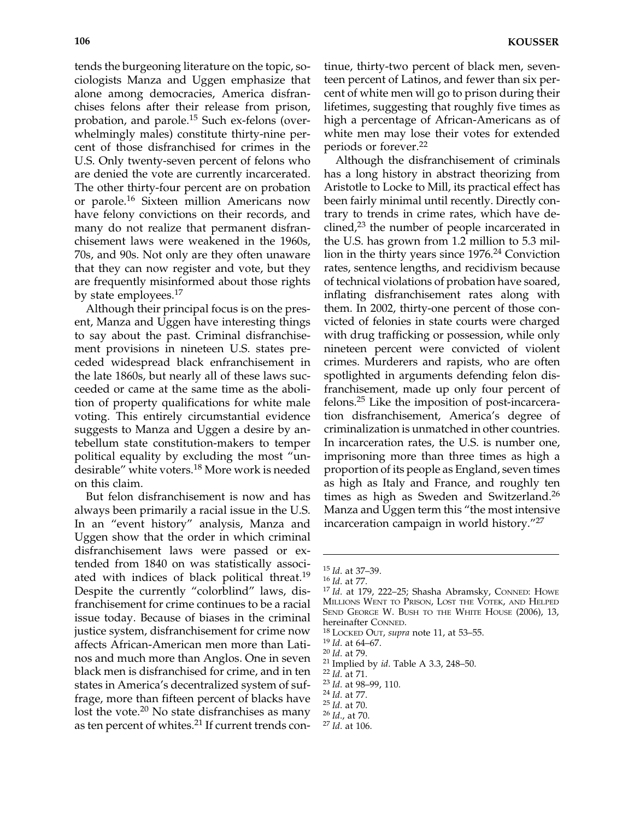tends the burgeoning literature on the topic, sociologists Manza and Uggen emphasize that alone among democracies, America disfranchises felons after their release from prison, probation, and parole.15 Such ex-felons (overwhelmingly males) constitute thirty-nine percent of those disfranchised for crimes in the U.S. Only twenty-seven percent of felons who are denied the vote are currently incarcerated. The other thirty-four percent are on probation or parole.16 Sixteen million Americans now have felony convictions on their records, and many do not realize that permanent disfranchisement laws were weakened in the 1960s, 70s, and 90s. Not only are they often unaware that they can now register and vote, but they are frequently misinformed about those rights by state employees.<sup>17</sup>

Although their principal focus is on the present, Manza and Uggen have interesting things to say about the past. Criminal disfranchisement provisions in nineteen U.S. states preceded widespread black enfranchisement in the late 1860s, but nearly all of these laws succeeded or came at the same time as the abolition of property qualifications for white male voting. This entirely circumstantial evidence suggests to Manza and Uggen a desire by antebellum state constitution-makers to temper political equality by excluding the most "undesirable" white voters.18 More work is needed on this claim.

But felon disfranchisement is now and has always been primarily a racial issue in the U.S. In an "event history" analysis, Manza and Uggen show that the order in which criminal disfranchisement laws were passed or extended from 1840 on was statistically associated with indices of black political threat.<sup>19</sup> Despite the currently "colorblind" laws, disfranchisement for crime continues to be a racial issue today. Because of biases in the criminal justice system, disfranchisement for crime now affects African-American men more than Latinos and much more than Anglos. One in seven black men is disfranchised for crime, and in ten states in America's decentralized system of suffrage, more than fifteen percent of blacks have lost the vote.<sup>20</sup> No state disfranchises as many as ten percent of whites.<sup>21</sup> If current trends continue, thirty-two percent of black men, seventeen percent of Latinos, and fewer than six percent of white men will go to prison during their lifetimes, suggesting that roughly five times as high a percentage of African-Americans as of white men may lose their votes for extended periods or forever.<sup>22</sup>

Although the disfranchisement of criminals has a long history in abstract theorizing from Aristotle to Locke to Mill, its practical effect has been fairly minimal until recently. Directly contrary to trends in crime rates, which have declined,23 the number of people incarcerated in the U.S. has grown from 1.2 million to 5.3 million in the thirty years since  $1976<sup>24</sup>$  Conviction rates, sentence lengths, and recidivism because of technical violations of probation have soared, inflating disfranchisement rates along with them. In 2002, thirty-one percent of those convicted of felonies in state courts were charged with drug trafficking or possession, while only nineteen percent were convicted of violent crimes. Murderers and rapists, who are often spotlighted in arguments defending felon disfranchisement, made up only four percent of felons.25 Like the imposition of post-incarceration disfranchisement, America's degree of criminalization is unmatched in other countries. In incarceration rates, the U.S. is number one, imprisoning more than three times as high a proportion of its people as England, seven times as high as Italy and France, and roughly ten times as high as Sweden and Switzerland.<sup>26</sup> Manza and Uggen term this "the most intensive incarceration campaign in world history."27

- 
- 
- 
- 

<sup>&</sup>lt;sup>15</sup> *Id.* at 37–39.<br><sup>16</sup> *Id.* at 77.<br><sup>17</sup> *Id.* at 179, 222–25; Shasha Abramsky, Conned: Howe MILLIONS WENT TO PRISON, LOST THE VOTEK, AND HELPED SEND GEORGE W. BUSH TO THE WHITE HOUSE (2006), 13,

hereinafter Connep.<br><sup>18</sup> Locked Out, *supra* note 11, at 53–55.<br><sup>19</sup> Id. at 64–67.<br><sup>20</sup> Id. at 79.<br><sup>21</sup> Implied by *id*. Table A 3.3, 248–50.<br><sup>22</sup> Id. at 71.<br><sup>23</sup> Id. at 77.<br><sup>24</sup> Id. at 70.<br><sup>26</sup> Id., at 70.<br><sup>27</sup> Id. at 70.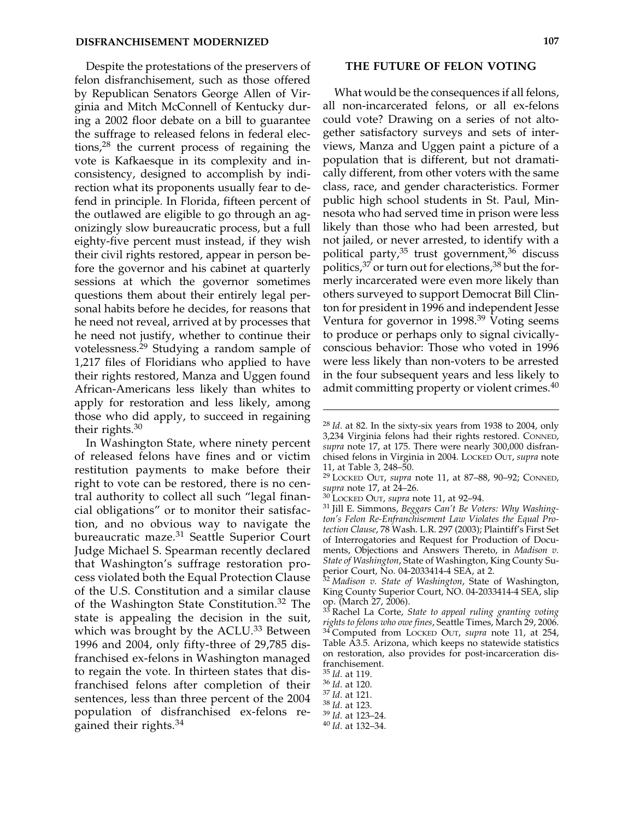Despite the protestations of the preservers of felon disfranchisement, such as those offered by Republican Senators George Allen of Virginia and Mitch McConnell of Kentucky during a 2002 floor debate on a bill to guarantee the suffrage to released felons in federal elections,<sup>28</sup> the current process of regaining the vote is Kafkaesque in its complexity and inconsistency, designed to accomplish by indirection what its proponents usually fear to defend in principle. In Florida, fifteen percent of the outlawed are eligible to go through an agonizingly slow bureaucratic process, but a full eighty-five percent must instead, if they wish their civil rights restored, appear in person before the governor and his cabinet at quarterly sessions at which the governor sometimes questions them about their entirely legal personal habits before he decides, for reasons that he need not reveal, arrived at by processes that he need not justify, whether to continue their votelessness.<sup>29</sup> Studying a random sample of 1,217 files of Floridians who applied to have their rights restored, Manza and Uggen found African-Americans less likely than whites to apply for restoration and less likely, among those who did apply, to succeed in regaining their rights.<sup>30</sup>

In Washington State, where ninety percent of released felons have fines and or victim restitution payments to make before their right to vote can be restored, there is no central authority to collect all such "legal financial obligations" or to monitor their satisfaction, and no obvious way to navigate the bureaucratic maze.<sup>31</sup> Seattle Superior Court Judge Michael S. Spearman recently declared that Washington's suffrage restoration process violated both the Equal Protection Clause of the U.S. Constitution and a similar clause of the Washington State Constitution.<sup>32</sup> The state is appealing the decision in the suit, which was brought by the ACLU.<sup>33</sup> Between 1996 and 2004, only fifty-three of 29,785 disfranchised ex-felons in Washington managed to regain the vote. In thirteen states that disfranchised felons after completion of their sentences, less than three percent of the 2004 population of disfranchised ex-felons regained their rights.<sup>34</sup>

### **THE FUTURE OF FELON VOTING**

What would be the consequences if all felons, all non-incarcerated felons, or all ex-felons could vote? Drawing on a series of not altogether satisfactory surveys and sets of interviews, Manza and Uggen paint a picture of a population that is different, but not dramatically different, from other voters with the same class, race, and gender characteristics. Former public high school students in St. Paul, Minnesota who had served time in prison were less likely than those who had been arrested, but not jailed, or never arrested, to identify with a political party, $35$  trust government, $36$  discuss politics,  $37$  or turn out for elections,  $38$  but the formerly incarcerated were even more likely than others surveyed to support Democrat Bill Clinton for president in 1996 and independent Jesse Ventura for governor in  $1998<sup>39</sup>$  Voting seems to produce or perhaps only to signal civicallyconscious behavior: Those who voted in 1996 were less likely than non-voters to be arrested in the four subsequent years and less likely to admit committing property or violent crimes.<sup>40</sup>

- 
- 
- 

<sup>28</sup> *Id*. at 82. In the sixty-six years from 1938 to 2004, only 3,234 Virginia felons had their rights restored. CONNED, *supra* note 17, at 175. There were nearly 300,000 disfranchised felons in Virginia in 2004. LOCKED OUT, *supra* note 11, at Table 3, 248–50.

<sup>29</sup> LOCKED OUT, *supra* note 11, at 87–88, 90–92; CONNED,

*supra* note 17, at 24–26. <sup>30</sup> LOCKED OUT, *supra* note 11, at 92–94. <sup>31</sup> Jill E. Simmons, *Beggars Can't Be Voters: Why Washington's Felon Re-Enfranchisement Law Violates the Equal Protection Clause*, 78 Wash. L.R. 297 (2003); Plaintiff's First Set of Interrogatories and Request for Production of Documents, Objections and Answers Thereto, in *Madison v. State of Washington*, State of Washington, King County Superior Court, No. 04-2033414-4 SEA, at 2.

<sup>32</sup> *Madison v. State of Washington*, State of Washington, King County Superior Court, NO. 04-2033414-4 SEA, slip op. (March 27, 2006).

<sup>33</sup> Rachel La Corte, *State to appeal ruling granting voting rights to felons who owe fines*, Seattle Times, March 29, 2006. <sup>34</sup> Computed from LOCKED OUT, *supra* note 11, at 254, Table A3.5. Arizona, which keeps no statewide statistics on restoration, also provides for post-incarceration disfranchisement.<br> $35$  *Id.* at 119.

<sup>35</sup> *Id*. at 119. <sup>36</sup> *Id*. at 120. <sup>37</sup> *Id*. at 121. <sup>38</sup> *Id*. at 123. <sup>39</sup> *Id*. at 123–24. <sup>40</sup> *Id*. at 132–34.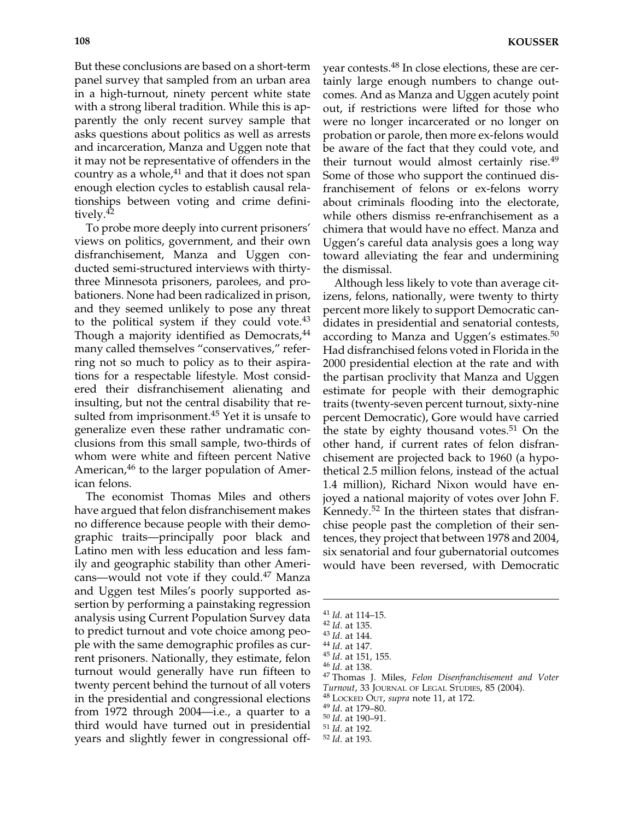But these conclusions are based on a short-term panel survey that sampled from an urban area in a high-turnout, ninety percent white state with a strong liberal tradition. While this is apparently the only recent survey sample that asks questions about politics as well as arrests and incarceration, Manza and Uggen note that it may not be representative of offenders in the country as a whole, $41$  and that it does not span enough election cycles to establish causal relationships between voting and crime definitively.<sup>42</sup>

To probe more deeply into current prisoners' views on politics, government, and their own disfranchisement, Manza and Uggen conducted semi-structured interviews with thirtythree Minnesota prisoners, parolees, and probationers. None had been radicalized in prison, and they seemed unlikely to pose any threat to the political system if they could vote. $43$ Though a majority identified as Democrats,<sup>44</sup> many called themselves "conservatives," referring not so much to policy as to their aspirations for a respectable lifestyle. Most considered their disfranchisement alienating and insulting, but not the central disability that resulted from imprisonment.<sup>45</sup> Yet it is unsafe to generalize even these rather undramatic conclusions from this small sample, two-thirds of whom were white and fifteen percent Native American,<sup>46</sup> to the larger population of American felons.

The economist Thomas Miles and others have argued that felon disfranchisement makes no difference because people with their demographic traits—principally poor black and Latino men with less education and less family and geographic stability than other Americans—would not vote if they could.<sup>47</sup> Manza and Uggen test Miles's poorly supported assertion by performing a painstaking regression analysis using Current Population Survey data to predict turnout and vote choice among people with the same demographic profiles as current prisoners. Nationally, they estimate, felon turnout would generally have run fifteen to twenty percent behind the turnout of all voters in the presidential and congressional elections from 1972 through 2004—i.e., a quarter to a third would have turned out in presidential years and slightly fewer in congressional offyear contests.48 In close elections, these are certainly large enough numbers to change outcomes. And as Manza and Uggen acutely point out, if restrictions were lifted for those who were no longer incarcerated or no longer on probation or parole, then more ex-felons would be aware of the fact that they could vote, and their turnout would almost certainly rise.<sup>49</sup> Some of those who support the continued disfranchisement of felons or ex-felons worry about criminals flooding into the electorate, while others dismiss re-enfranchisement as a chimera that would have no effect. Manza and Uggen's careful data analysis goes a long way toward alleviating the fear and undermining the dismissal.

Although less likely to vote than average citizens, felons, nationally, were twenty to thirty percent more likely to support Democratic candidates in presidential and senatorial contests, according to Manza and Uggen's estimates.<sup>50</sup> Had disfranchised felons voted in Florida in the 2000 presidential election at the rate and with the partisan proclivity that Manza and Uggen estimate for people with their demographic traits (twenty-seven percent turnout, sixty-nine percent Democratic), Gore would have carried the state by eighty thousand votes.<sup>51</sup> On the other hand, if current rates of felon disfranchisement are projected back to 1960 (a hypothetical 2.5 million felons, instead of the actual 1.4 million), Richard Nixon would have enjoyed a national majority of votes over John F. Kennedy.<sup>52</sup> In the thirteen states that disfranchise people past the completion of their sentences, they project that between 1978 and 2004, six senatorial and four gubernatorial outcomes would have been reversed, with Democratic

- 
- 41 *Id.* at 114–15.<br><sup>42</sup> *Id.* at 135.<br><sup>43</sup> *Id.* at 144.<br><sup>44</sup> *Id.* at 147.<br><sup>45</sup> *Id.* at 138.<br><sup>47</sup> Thomas J. Miles, *Felon Disenfranchisement and Voter*<br>*Turnout*, 33 JOURNAL OF LEGAL STUDIES, 85 (2004).
- <sup>48</sup> LOCKED OUT, *supra* note 11, at 172.<br><sup>49</sup> *Id*. at 179–80.<br><sup>50</sup> *Id*. at 190–91. 51 *Id*. at 192. 52 *Id*. at 193.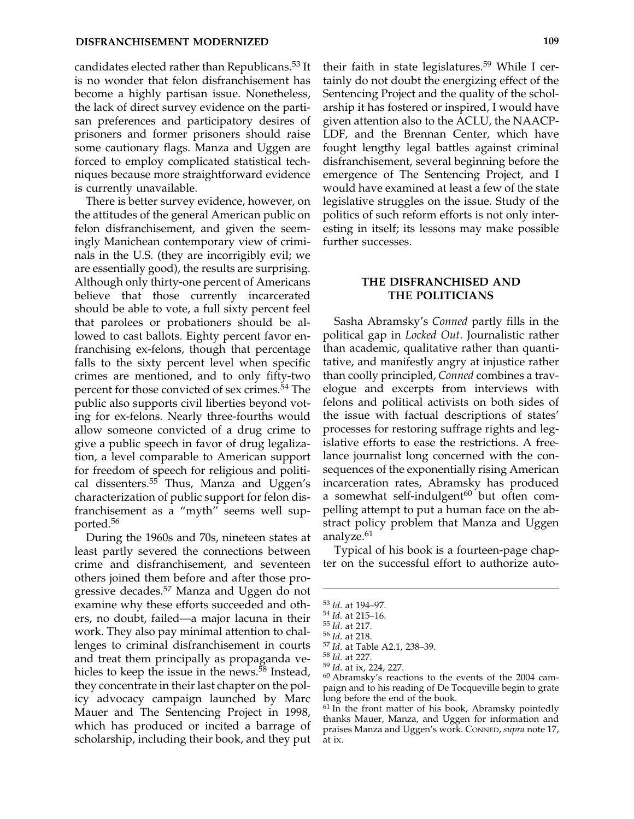candidates elected rather than Republicans.53 It is no wonder that felon disfranchisement has become a highly partisan issue. Nonetheless, the lack of direct survey evidence on the partisan preferences and participatory desires of prisoners and former prisoners should raise some cautionary flags. Manza and Uggen are forced to employ complicated statistical techniques because more straightforward evidence is currently unavailable.

There is better survey evidence, however, on the attitudes of the general American public on felon disfranchisement, and given the seemingly Manichean contemporary view of criminals in the U.S. (they are incorrigibly evil; we are essentially good), the results are surprising. Although only thirty-one percent of Americans believe that those currently incarcerated should be able to vote, a full sixty percent feel that parolees or probationers should be allowed to cast ballots. Eighty percent favor enfranchising ex-felons, though that percentage falls to the sixty percent level when specific crimes are mentioned, and to only fifty-two percent for those convicted of sex crimes.<sup>54</sup> The public also supports civil liberties beyond voting for ex-felons. Nearly three-fourths would allow someone convicted of a drug crime to give a public speech in favor of drug legalization, a level comparable to American support for freedom of speech for religious and political dissenters.<sup>55</sup> Thus, Manza and Uggen's characterization of public support for felon disfranchisement as a "myth" seems well supported.<sup>56</sup>

During the 1960s and 70s, nineteen states at least partly severed the connections between crime and disfranchisement, and seventeen others joined them before and after those progressive decades.<sup>57</sup> Manza and Uggen do not examine why these efforts succeeded and others, no doubt, failed—a major lacuna in their work. They also pay minimal attention to challenges to criminal disfranchisement in courts and treat them principally as propaganda vehicles to keep the issue in the news.<sup>58</sup> Instead, they concentrate in their last chapter on the policy advocacy campaign launched by Marc Mauer and The Sentencing Project in 1998, which has produced or incited a barrage of scholarship, including their book, and they put

their faith in state legislatures.<sup>59</sup> While I certainly do not doubt the energizing effect of the Sentencing Project and the quality of the scholarship it has fostered or inspired, I would have given attention also to the ACLU, the NAACP-LDF, and the Brennan Center, which have fought lengthy legal battles against criminal disfranchisement, several beginning before the emergence of The Sentencing Project, and I would have examined at least a few of the state legislative struggles on the issue. Study of the politics of such reform efforts is not only interesting in itself; its lessons may make possible further successes.

#### **THE DISFRANCHISED AND THE POLITICIANS**

Sasha Abramsky's *Conned* partly fills in the political gap in *Locked Out*. Journalistic rather than academic, qualitative rather than quantitative, and manifestly angry at injustice rather than coolly principled, *Conned* combines a travelogue and excerpts from interviews with felons and political activists on both sides of the issue with factual descriptions of states' processes for restoring suffrage rights and legislative efforts to ease the restrictions. A freelance journalist long concerned with the consequences of the exponentially rising American incarceration rates, Abramsky has produced a somewhat self-indulgent $60$  but often compelling attempt to put a human face on the abstract policy problem that Manza and Uggen analyze.61

Typical of his book is a fourteen-page chapter on the successful effort to authorize auto-

<sup>&</sup>lt;sup>53</sup> *Id.* at 194–97.<br>
<sup>54</sup> *Id.* at 215–16.<br>
<sup>55</sup> *Id.* at 217.<br>
<sup>56</sup> *Id.* at 218.<br>
<sup>57</sup> *Id.* at Table A2.1, 238–39.<br>
<sup>58</sup> *Id.* at ix, 224, 227.<br>
<sup>59</sup> *Id.* at ix, 224, 227.<br>
<sup>60</sup> Abramsky's reactions to the events of paign and to his reading of De Tocqueville begin to grate long before the end of the book.

 $61$  In the front matter of his book, Abramsky pointedly thanks Mauer, Manza, and Uggen for information and praises Manza and Uggen's work. CONNED, *supra* note 17, at ix.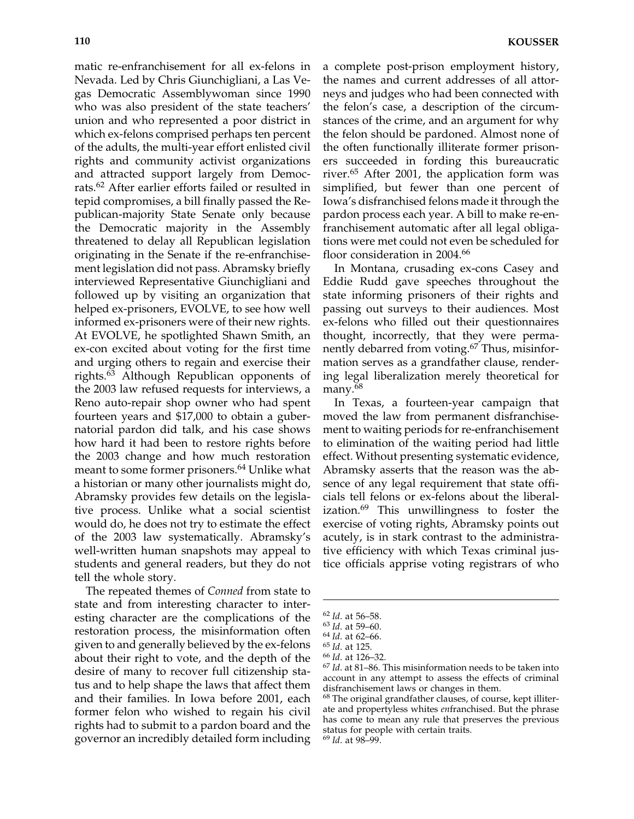matic re-enfranchisement for all ex-felons in Nevada. Led by Chris Giunchigliani, a Las Vegas Democratic Assemblywoman since 1990 who was also president of the state teachers' union and who represented a poor district in which ex-felons comprised perhaps ten percent of the adults, the multi-year effort enlisted civil rights and community activist organizations and attracted support largely from Democrats.62 After earlier efforts failed or resulted in tepid compromises, a bill finally passed the Republican-majority State Senate only because the Democratic majority in the Assembly threatened to delay all Republican legislation originating in the Senate if the re-enfranchisement legislation did not pass. Abramsky briefly interviewed Representative Giunchigliani and followed up by visiting an organization that helped ex-prisoners, EVOLVE, to see how well informed ex-prisoners were of their new rights. At EVOLVE, he spotlighted Shawn Smith, an ex-con excited about voting for the first time and urging others to regain and exercise their rights.<sup>63</sup> Although Republican opponents of the 2003 law refused requests for interviews, a Reno auto-repair shop owner who had spent fourteen years and \$17,000 to obtain a gubernatorial pardon did talk, and his case shows how hard it had been to restore rights before the 2003 change and how much restoration meant to some former prisoners.<sup>64</sup> Unlike what a historian or many other journalists might do, Abramsky provides few details on the legislative process. Unlike what a social scientist would do, he does not try to estimate the effect of the 2003 law systematically. Abramsky's well-written human snapshots may appeal to students and general readers, but they do not tell the whole story.

The repeated themes of *Conned* from state to state and from interesting character to interesting character are the complications of the restoration process, the misinformation often given to and generally believed by the ex-felons about their right to vote, and the depth of the desire of many to recover full citizenship status and to help shape the laws that affect them and their families. In Iowa before 2001, each former felon who wished to regain his civil rights had to submit to a pardon board and the governor an incredibly detailed form including a complete post-prison employment history, the names and current addresses of all attorneys and judges who had been connected with the felon's case, a description of the circumstances of the crime, and an argument for why the felon should be pardoned. Almost none of the often functionally illiterate former prisoners succeeded in fording this bureaucratic river.<sup>65</sup> After 2001, the application form was simplified, but fewer than one percent of Iowa's disfranchised felons made it through the pardon process each year. A bill to make re-enfranchisement automatic after all legal obligations were met could not even be scheduled for floor consideration in 2004.<sup>66</sup>

In Montana, crusading ex-cons Casey and Eddie Rudd gave speeches throughout the state informing prisoners of their rights and passing out surveys to their audiences. Most ex-felons who filled out their questionnaires thought, incorrectly, that they were permanently debarred from voting.<sup>67</sup> Thus, misinformation serves as a grandfather clause, rendering legal liberalization merely theoretical for many.<sup>68</sup>

In Texas, a fourteen-year campaign that moved the law from permanent disfranchisement to waiting periods for re-enfranchisement to elimination of the waiting period had little effect. Without presenting systematic evidence, Abramsky asserts that the reason was the absence of any legal requirement that state officials tell felons or ex-felons about the liberalization.<sup>69</sup> This unwillingness to foster the exercise of voting rights, Abramsky points out acutely, is in stark contrast to the administrative efficiency with which Texas criminal justice officials apprise voting registrars of who

<sup>62</sup> *Id*. at 56–58. <sup>63</sup> *Id*. at 59–60. <sup>64</sup> *Id*. at 62–66. <sup>65</sup> *Id*. at 125. <sup>66</sup> *Id*. at 126–32. <sup>67</sup> *Id*. at 81–86. This misinformation needs to be taken into account in any attempt to assess the effects of criminal disfranchisement laws or changes in them.

<sup>68</sup> The original grandfather clauses, of course, kept illiterate and propertyless whites *en*franchised. But the phrase has come to mean any rule that preserves the previous status for people with certain traits.

<sup>69</sup> *Id*. at 98–99.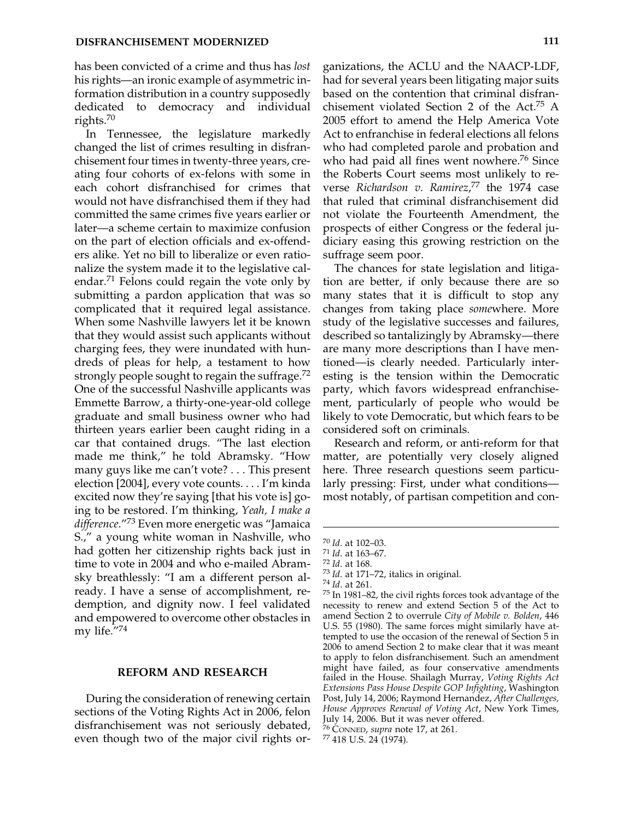has been convicted of a crime and thus has *lost* his rights—an ironic example of asymmetric information distribution in a country supposedly dedicated to democracy and individual rights.<sup>70</sup>

In Tennessee, the legislature markedly changed the list of crimes resulting in disfranchisement four times in twenty-three years, creating four cohorts of ex-felons with some in each cohort disfranchised for crimes that would not have disfranchised them if they had committed the same crimes five years earlier or later—a scheme certain to maximize confusion on the part of election officials and ex-offenders alike. Yet no bill to liberalize or even rationalize the system made it to the legislative calendar. $71$  Felons could regain the vote only by submitting a pardon application that was so complicated that it required legal assistance. When some Nashville lawyers let it be known that they would assist such applicants without charging fees, they were inundated with hundreds of pleas for help, a testament to how strongly people sought to regain the suffrage.<sup>72</sup> One of the successful Nashville applicants was Emmette Barrow, a thirty-one-year-old college graduate and small business owner who had thirteen years earlier been caught riding in a car that contained drugs. "The last election made me think," he told Abramsky. "How many guys like me can't vote? . . . This present election [2004], every vote counts. . . . I'm kinda excited now they're saying [that his vote is] going to be restored. I'm thinking, *Yeah, I make a difference*."73 Even more energetic was "Jamaica S.," a young white woman in Nashville, who had gotten her citizenship rights back just in time to vote in 2004 and who e-mailed Abramsky breathlessly: "I am a different person already. I have a sense of accomplishment, redemption, and dignity now. I feel validated and empowered to overcome other obstacles in my life."74

#### **REFORM AND RESEARCH**

During the consideration of renewing certain sections of the Voting Rights Act in 2006, felon disfranchisement was not seriously debated, even though two of the major civil rights or-

ganizations, the ACLU and the NAACP-LDF, had for several years been litigating major suits based on the contention that criminal disfranchisement violated Section 2 of the Act.75 A 2005 effort to amend the Help America Vote Act to enfranchise in federal elections all felons who had completed parole and probation and who had paid all fines went nowhere.<sup>76</sup> Since the Roberts Court seems most unlikely to reverse *Richardson v. Ramirez*, <sup>77</sup> the 1974 case that ruled that criminal disfranchisement did not violate the Fourteenth Amendment, the prospects of either Congress or the federal judiciary easing this growing restriction on the suffrage seem poor.

The chances for state legislation and litigation are better, if only because there are so many states that it is difficult to stop any changes from taking place *some*where. More study of the legislative successes and failures, described so tantalizingly by Abramsky—there are many more descriptions than I have mentioned—is clearly needed. Particularly interesting is the tension within the Democratic party, which favors widespread enfranchisement, particularly of people who would be likely to vote Democratic, but which fears to be considered soft on criminals.

Research and reform, or anti-reform for that matter, are potentially very closely aligned here. Three research questions seem particularly pressing: First, under what conditions most notably, of partisan competition and con-

<sup>70</sup> *Id*. at 102–03.<br>
<sup>71</sup> *Id*. at 163–67.<br>
<sup>72</sup> *Id*. at 168.<br>
<sup>73</sup> *Id*. at 171–72, italics in original.<br>
<sup>74</sup> *Id*. at 261.<br>
<sup>75</sup> In 1981–82, the civil rights forces took advantage of the necessity to renew and extend Section 5 of the Act to amend Section 2 to overrule *City of Mobile v. Bolden*, 446 U.S. 55 (1980). The same forces might similarly have attempted to use the occasion of the renewal of Section 5 in  $200\hat{6}$  to amend Section 2 to make clear that it was meant to apply to felon disfranchisement. Such an amendment might have failed, as four conservative amendments failed in the House. Shailagh Murray, *Voting Rights Act Extensions Pass House Despite GOP Infighting*, Washington Post, July 14, 2006; Raymond Hernandez, *After Challenges, House Approves Renewal of Voting Act*, New York Times, July 14, 2006. But it was never offered.

<sup>76</sup> CONNED, *supra* note 17, at 261. <sup>77</sup> 418 U.S. 24 (1974).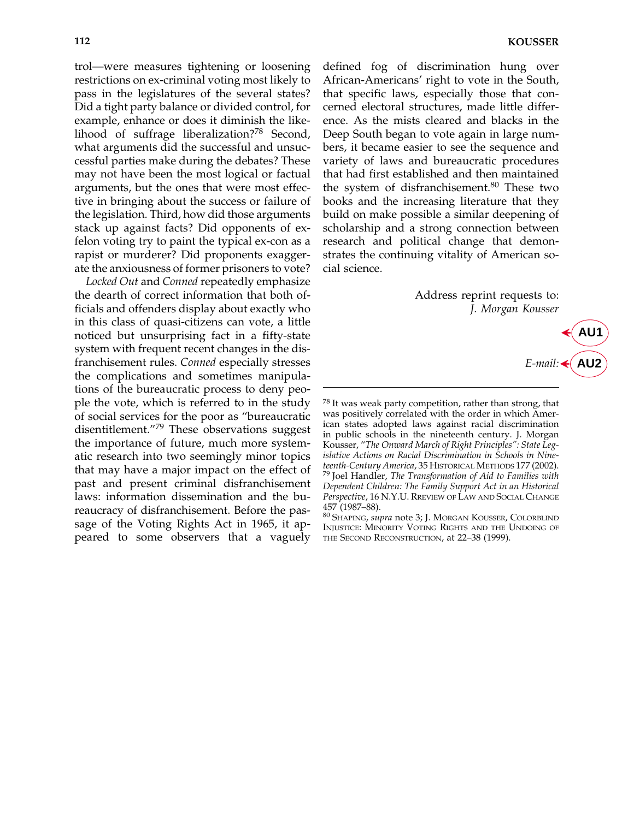trol—were measures tightening or loosening restrictions on ex-criminal voting most likely to pass in the legislatures of the several states? Did a tight party balance or divided control, for example, enhance or does it diminish the likelihood of suffrage liberalization?<sup>78</sup> Second, what arguments did the successful and unsuccessful parties make during the debates? These may not have been the most logical or factual arguments, but the ones that were most effective in bringing about the success or failure of the legislation. Third, how did those arguments stack up against facts? Did opponents of exfelon voting try to paint the typical ex-con as a rapist or murderer? Did proponents exaggerate the anxiousness of former prisoners to vote?

*Locked Out* and *Conned* repeatedly emphasize the dearth of correct information that both officials and offenders display about exactly who in this class of quasi-citizens can vote, a little noticed but unsurprising fact in a fifty-state system with frequent recent changes in the disfranchisement rules. *Conned* especially stresses the complications and sometimes manipulations of the bureaucratic process to deny people the vote, which is referred to in the study of social services for the poor as "bureaucratic disentitlement."<sup>79</sup> These observations suggest the importance of future, much more systematic research into two seemingly minor topics that may have a major impact on the effect of past and present criminal disfranchisement laws: information dissemination and the bureaucracy of disfranchisement. Before the passage of the Voting Rights Act in 1965, it appeared to some observers that a vaguely

defined fog of discrimination hung over African-Americans' right to vote in the South, that specific laws, especially those that concerned electoral structures, made little difference. As the mists cleared and blacks in the Deep South began to vote again in large numbers, it became easier to see the sequence and variety of laws and bureaucratic procedures that had first established and then maintained the system of disfranchisement.<sup>80</sup> These two books and the increasing literature that they build on make possible a similar deepening of scholarship and a strong connection between research and political change that demonstrates the continuing vitality of American social science.

> Address reprint requests to: *J. Morgan Kousser*



<sup>78</sup> It was weak party competition, rather than strong, that was positively correlated with the order in which American states adopted laws against racial discrimination in public schools in the nineteenth century. J. Morgan Kousser, "*The Onward March of Right Principles": State Legislative Actions on Racial Discrimination in Schools in Nine-*<sup>79</sup> Joel Handler, The Transformation of Aid to Families with *Dependent Children: The Family Support Act in an Historical Perspective*, 16 N.Y.U. RREVIEW OF LAW AND SOCIAL CHANGE 457 (1987–88).

<sup>80</sup> SHAPING, *supra* note 3; J. MORGAN KOUSSER, COLORBLIND INJUSTICE: MINORITY VOTING RIGHTS AND THE UNDOING OF THE SECOND RECONSTRUCTION, at 22-38 (1999).